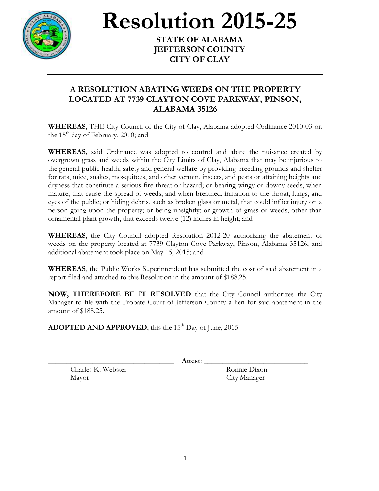

**Resolution 2015-25** 

**STATE OF ALABAMA JEFFERSON COUNTY CITY OF CLAY**

## **A RESOLUTION ABATING WEEDS ON THE PROPERTY LOCATED AT 7739 CLAYTON COVE PARKWAY, PINSON, ALABAMA 35126**

**WHEREAS**, THE City Council of the City of Clay, Alabama adopted Ordinance 2010-03 on the  $15<sup>th</sup>$  day of February, 2010; and

**WHEREAS,** said Ordinance was adopted to control and abate the nuisance created by overgrown grass and weeds within the City Limits of Clay, Alabama that may be injurious to the general public health, safety and general welfare by providing breeding grounds and shelter for rats, mice, snakes, mosquitoes, and other vermin, insects, and pests or attaining heights and dryness that constitute a serious fire threat or hazard; or bearing wingy or downy seeds, when mature, that cause the spread of weeds, and when breathed, irritation to the throat, lungs, and eyes of the public; or hiding debris, such as broken glass or metal, that could inflict injury on a person going upon the property; or being unsightly; or growth of grass or weeds, other than ornamental plant growth, that exceeds twelve (12) inches in height; and

**WHEREAS**, the City Council adopted Resolution 2012-20 authorizing the abatement of weeds on the property located at 7739 Clayton Cove Parkway, Pinson, Alabama 35126, and additional abatement took place on May 15, 2015; and

**WHEREAS**, the Public Works Superintendent has submitted the cost of said abatement in a report filed and attached to this Resolution in the amount of \$188.25.

**NOW, THEREFORE BE IT RESOLVED** that the City Council authorizes the City Manager to file with the Probate Court of Jefferson County a lien for said abatement in the amount of \$188.25.

ADOPTED AND APPROVED, this the 15<sup>th</sup> Day of June, 2015.

\_\_\_\_\_\_\_\_\_\_\_\_\_\_\_\_\_\_\_\_\_\_\_\_\_\_\_\_\_\_\_\_\_\_ **Attest**: \_\_\_\_\_\_\_\_\_\_\_\_\_\_\_\_\_\_\_\_\_\_\_\_\_\_\_\_

Charles K. Webster Ronnie Dixon Mayor City Manager